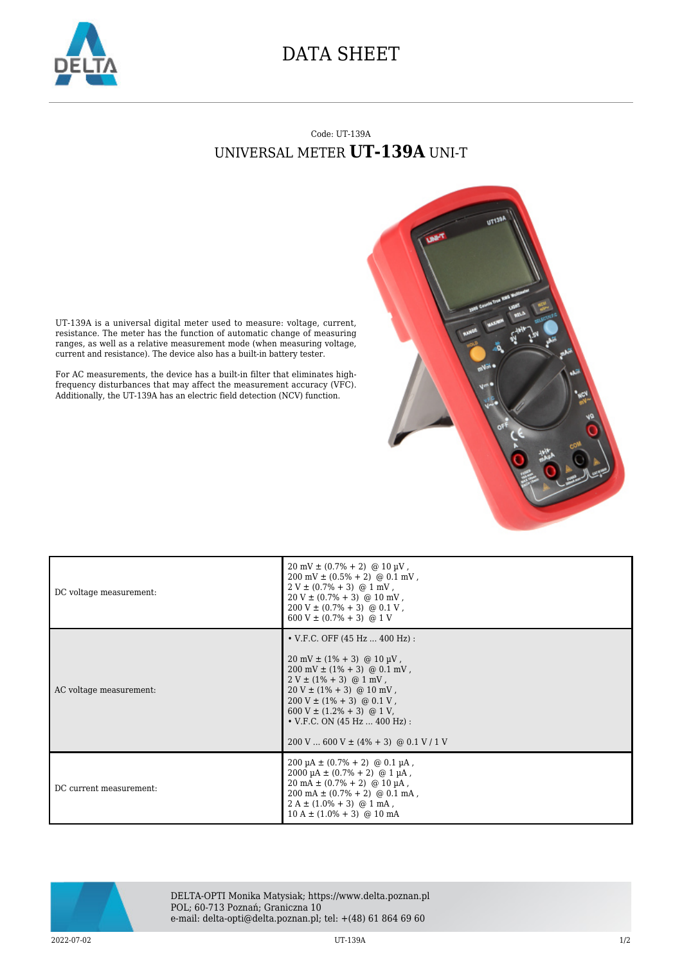

## DATA SHEET

## Code: UT-139A UNIVERSAL METER **UT-139A** UNI-T



UT-139A is a universal digital meter used to measure: voltage, current, resistance. The meter has the function of automatic change of measuring ranges, as well as a relative measurement mode (when measuring voltage, current and resistance). The device also has a built-in battery tester.

For AC measurements, the device has a built-in filter that eliminates highfrequency disturbances that may affect the measurement accuracy (VFC). Additionally, the UT-139A has an electric field detection (NCV) function.

| DC voltage measurement: | $20 \text{ mV} \pm (0.7\% + 2)$ @ 10 µV,<br>$200 \text{ mV} \pm (0.5\% + 2) \text{ @ } 0.1 \text{ mV}$ ,<br>$2 V \pm (0.7\% + 3)$ @ 1 mV,<br>$20 V \pm (0.7\% + 3)$ @ 10 mV,<br>$200 V \pm (0.7\% + 3) \text{ @ } 0.1 V$ ,<br>$600 V \pm (0.7\% + 3)$ @ 1 V                                                                                                                                         |
|-------------------------|-----------------------------------------------------------------------------------------------------------------------------------------------------------------------------------------------------------------------------------------------------------------------------------------------------------------------------------------------------------------------------------------------------|
| AC voltage measurement: | • V.F.C. OFF $(45 Hz  400 Hz)$ :<br>$20 \text{ mV} \pm (1\% + 3) \text{ @ } 10 \text{ \mu V}$ ,<br>$200 \text{ mV} \pm (1\% + 3) \text{ @ } 0.1 \text{ mV}$ ,<br>$2 V \pm (1\% + 3)$ @ 1 mV,<br>$20 V \pm (1\% + 3)$ @ 10 mV,<br>$200 V \pm (1\% + 3) \text{ @ } 0.1 V$ ,<br>$600 V \pm (1.2\% + 3)$ @ 1 V,<br>$\bullet$ V.F.C. ON (45 Hz  400 Hz) :<br>$200$ V  600 V $\pm$ (4% + 3) @ 0.1 V / 1 V |
| DC current measurement: | $200 \mu A \pm (0.7\% + 2)$ @ 0.1 $\mu A$ ,<br>$2000 \mu A \pm (0.7\% + 2)$ @ 1 $\mu A$ ,<br>$20 \text{ mA} \pm (0.7\% + 2)$ @ 10 µA,<br>$200 \text{ mA} \pm (0.7\% + 2) \text{ @ } 0.1 \text{ mA}$ ,<br>$2 A \pm (1.0\% + 3)$ @ 1 mA,<br>$10 A \pm (1.0\% + 3)$ @ 10 mA                                                                                                                            |



DELTA-OPTI Monika Matysiak; https://www.delta.poznan.pl POL; 60-713 Poznań; Graniczna 10 e-mail: delta-opti@delta.poznan.pl; tel: +(48) 61 864 69 60